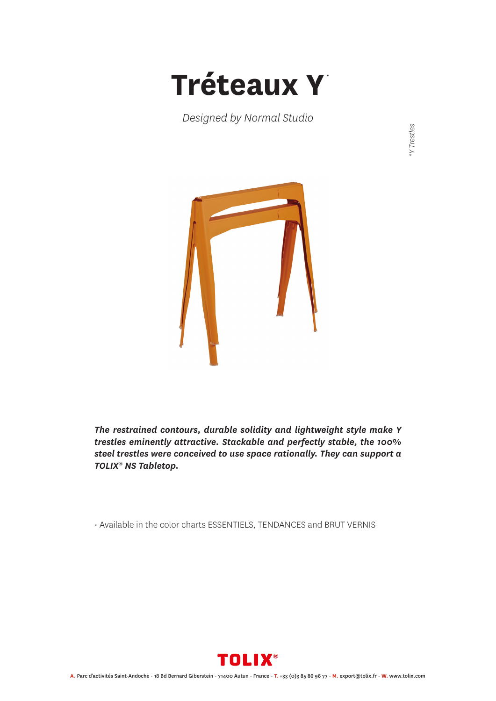

*Designed by Normal Studio*

**Y** Trestles *\*Y Trestles*



*The restrained contours, durable solidity and lightweight style make Y trestles eminently attractive. Stackable and perfectly stable, the 100% steel trestles were conceived to use space rationally. They can support a TOLIX® NS Tabletop.*

• Available in the color charts ESSENTIELS, TENDANCES and BRUT VERNIS